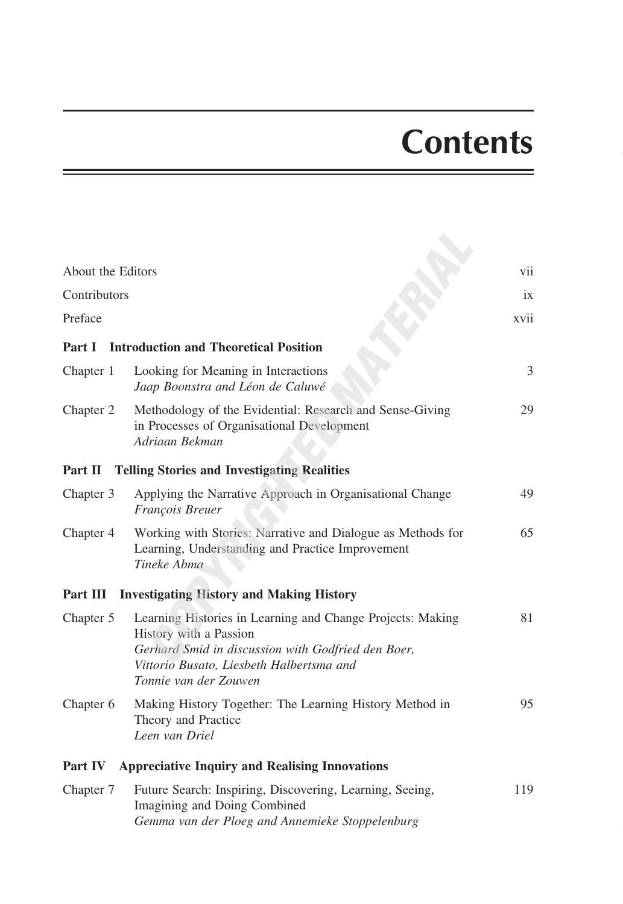## **Contents**

| About the Editors |                                                                                                                                                                                                                 | vii  |
|-------------------|-----------------------------------------------------------------------------------------------------------------------------------------------------------------------------------------------------------------|------|
| Contributors      |                                                                                                                                                                                                                 | ix   |
| Preface           |                                                                                                                                                                                                                 | xvii |
| Part I            | <b>Introduction and Theoretical Position</b>                                                                                                                                                                    |      |
| Chapter 1         | Looking for Meaning in Interactions<br>Jaap Boonstra and Léon de Caluwé                                                                                                                                         | 3    |
| Chapter 2         | Methodology of the Evidential: Research and Sense-Giving<br>in Processes of Organisational Development<br>Adriaan Bekman                                                                                        | 29   |
| Part II           | <b>Telling Stories and Investigating Realities</b>                                                                                                                                                              |      |
| Chapter 3         | Applying the Narrative Approach in Organisational Change<br>François Breuer                                                                                                                                     | 49   |
| Chapter 4         | Working with Stories: Narrative and Dialogue as Methods for<br>Learning, Understanding and Practice Improvement<br>Tineke Abma                                                                                  | 65   |
|                   | Part III Investigating History and Making History                                                                                                                                                               |      |
| Chapter 5         | Learning Histories in Learning and Change Projects: Making<br>History with a Passion<br>Gerhard Smid in discussion with Godfried den Boer,<br>Vittorio Busato, Liesbeth Halbertsma and<br>Tonnie van der Zouwen | 81   |
| Chapter 6         | Making History Together: The Learning History Method in<br>Theory and Practice<br>Leen van Driel                                                                                                                | 95   |
| Part IV           | <b>Appreciative Inquiry and Realising Innovations</b>                                                                                                                                                           |      |
| Chapter 7         | Future Search: Inspiring, Discovering, Learning, Seeing,<br>Imagining and Doing Combined<br>Gemma van der Ploeg and Annemieke Stoppelenburg                                                                     | 119  |